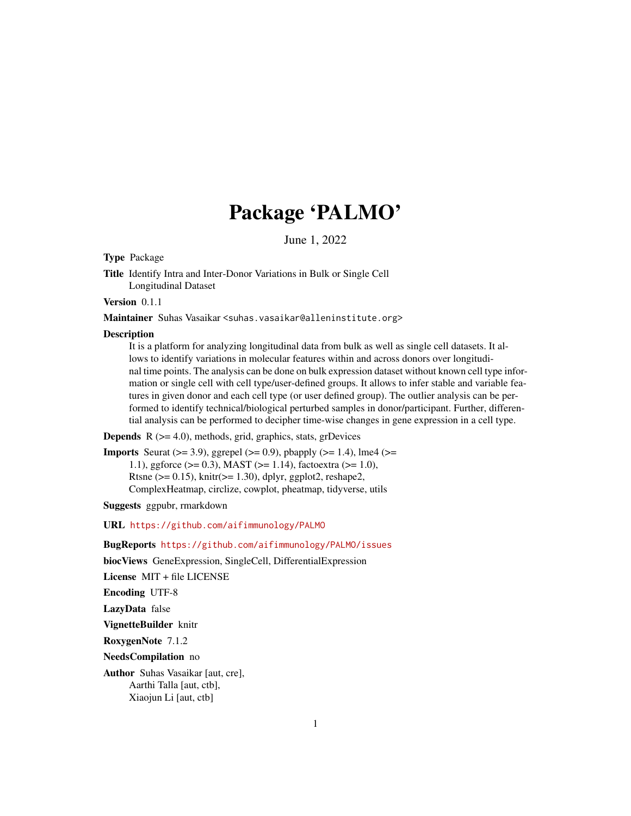## Package 'PALMO'

June 1, 2022

Type Package

Title Identify Intra and Inter-Donor Variations in Bulk or Single Cell Longitudinal Dataset

Version 0.1.1

Maintainer Suhas Vasaikar <suhas.vasaikar@alleninstitute.org>

#### Description

It is a platform for analyzing longitudinal data from bulk as well as single cell datasets. It allows to identify variations in molecular features within and across donors over longitudinal time points. The analysis can be done on bulk expression dataset without known cell type information or single cell with cell type/user-defined groups. It allows to infer stable and variable features in given donor and each cell type (or user defined group). The outlier analysis can be performed to identify technical/biological perturbed samples in donor/participant. Further, differential analysis can be performed to decipher time-wise changes in gene expression in a cell type.

**Depends**  $R$  ( $>= 4.0$ ), methods, grid, graphics, stats, grDevices

**Imports** Seurat ( $>= 3.9$ ), ggrepel ( $>= 0.9$ ), pbapply ( $>= 1.4$ ), lme4 ( $>= 1.4$ ) 1.1), ggforce (>= 0.3), MAST (>= 1.14), factoextra (>= 1.0), Rtsne ( $>= 0.15$ ), knitr( $>= 1.30$ ), dplyr, ggplot2, reshape2, ComplexHeatmap, circlize, cowplot, pheatmap, tidyverse, utils

Suggests ggpubr, rmarkdown

URL <https://github.com/aifimmunology/PALMO>

BugReports <https://github.com/aifimmunology/PALMO/issues>

biocViews GeneExpression, SingleCell, DifferentialExpression

License MIT + file LICENSE

Encoding UTF-8

LazyData false

VignetteBuilder knitr

RoxygenNote 7.1.2

NeedsCompilation no

Author Suhas Vasaikar [aut, cre], Aarthi Talla [aut, ctb], Xiaojun Li [aut, ctb]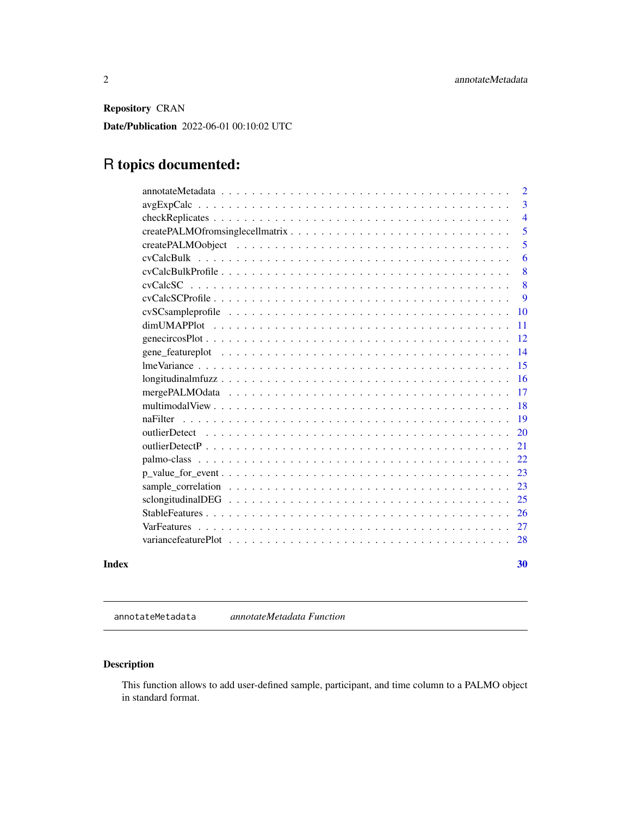<span id="page-1-0"></span>Repository CRAN

Date/Publication 2022-06-01 00:10:02 UTC

## R topics documented:

|       |                                                                                                                           | 2              |
|-------|---------------------------------------------------------------------------------------------------------------------------|----------------|
|       | $avgExpCalc \dots \dots \dots \dots \dots \dots \dots \dots \dots \dots \dots \dots \dots \dots \dots \dots$              | 3              |
|       |                                                                                                                           | $\overline{4}$ |
|       |                                                                                                                           | 5              |
|       |                                                                                                                           | 5              |
|       |                                                                                                                           | 6              |
|       |                                                                                                                           | 8              |
|       |                                                                                                                           | 8              |
|       |                                                                                                                           | 9              |
|       |                                                                                                                           | 10             |
|       |                                                                                                                           | 11             |
|       |                                                                                                                           | 12             |
|       |                                                                                                                           | 14             |
|       |                                                                                                                           | 15             |
|       | $longitudinalmfuzz \dots \dots \dots \dots \dots \dots \dots \dots \dots \dots \dots \dots \dots \dots \dots \dots \dots$ | 16             |
|       |                                                                                                                           | 17             |
|       |                                                                                                                           | <b>18</b>      |
|       |                                                                                                                           | 19             |
|       |                                                                                                                           | 20             |
|       |                                                                                                                           | 21             |
|       |                                                                                                                           | 22             |
|       | $p_value_for_events \ldots \ldots \ldots \ldots \ldots \ldots \ldots \ldots \ldots \ldots \ldots \ldots$                  | 23             |
|       | sample correlation $\ldots \ldots \ldots \ldots \ldots \ldots \ldots \ldots \ldots \ldots \ldots \ldots \ldots$           | 23             |
|       |                                                                                                                           | 25             |
|       |                                                                                                                           | 26             |
|       |                                                                                                                           | 27             |
|       |                                                                                                                           |                |
| Index |                                                                                                                           | 30             |

annotateMetadata *annotateMetadata Function*

## Description

This function allows to add user-defined sample, participant, and time column to a PALMO object in standard format.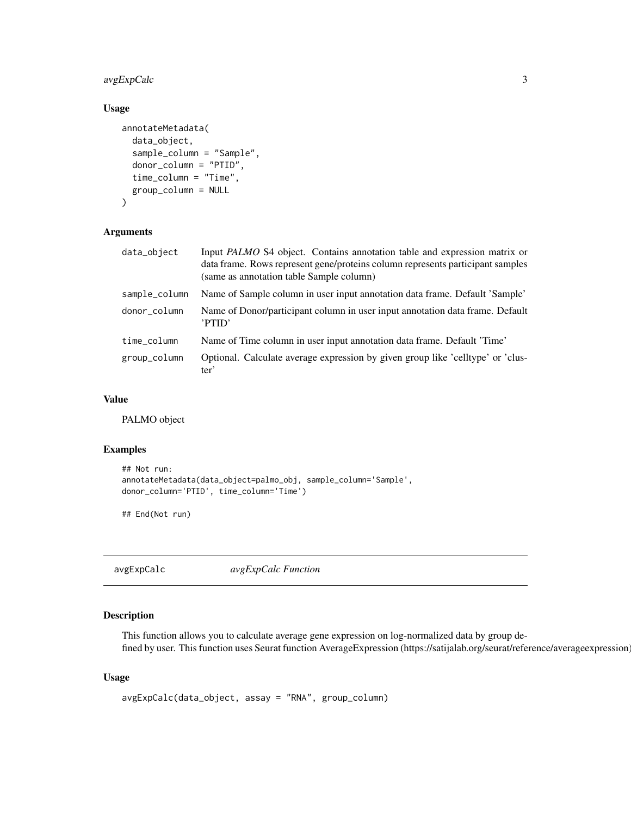## <span id="page-2-0"></span>avgExpCalc 3

## Usage

```
annotateMetadata(
  data_object,
  sample_column = "Sample",
  donor_column = "PTID",
  time_column = "Time",
  group_column = NULL
)
```
## Arguments

| data_object   | Input PALMO S4 object. Contains annotation table and expression matrix or<br>data frame. Rows represent gene/proteins column represents participant samples<br>(same as annotation table Sample column) |
|---------------|---------------------------------------------------------------------------------------------------------------------------------------------------------------------------------------------------------|
| sample_column | Name of Sample column in user input annotation data frame. Default 'Sample'                                                                                                                             |
| donor_column  | Name of Donor/participant column in user input annotation data frame. Default<br>'PTID'                                                                                                                 |
| time_column   | Name of Time column in user input annotation data frame. Default 'Time'                                                                                                                                 |
| group_column  | Optional. Calculate average expression by given group like 'celltype' or 'clus-<br>ter'                                                                                                                 |

## Value

PALMO object

## Examples

```
## Not run:
annotateMetadata(data_object=palmo_obj, sample_column='Sample',
donor_column='PTID', time_column='Time')
```
## End(Not run)

avgExpCalc *avgExpCalc Function*

## Description

This function allows you to calculate average gene expression on log-normalized data by group defined by user. This function uses Seurat function AverageExpression (https://satijalab.org/seurat/reference/averageexpression)

#### Usage

```
avgExpCalc(data_object, assay = "RNA", group_column)
```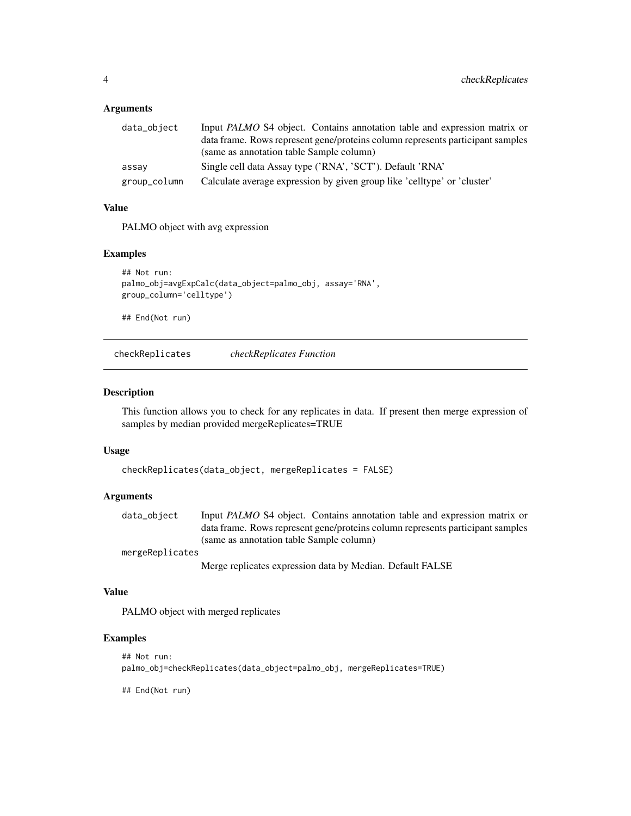#### <span id="page-3-0"></span>**Arguments**

| data_object  | Input PALMO S4 object. Contains annotation table and expression matrix or      |
|--------------|--------------------------------------------------------------------------------|
|              | data frame. Rows represent gene/proteins column represents participant samples |
|              | (same as annotation table Sample column)                                       |
| assay        | Single cell data Assay type ('RNA', 'SCT'). Default 'RNA'                      |
| group_column | Calculate average expression by given group like 'celltype' or 'cluster'       |

## Value

PALMO object with avg expression

## Examples

```
## Not run:
palmo_obj=avgExpCalc(data_object=palmo_obj, assay='RNA',
group_column='celltype')
```
## End(Not run)

checkReplicates *checkReplicates Function*

## Description

This function allows you to check for any replicates in data. If present then merge expression of samples by median provided mergeReplicates=TRUE

#### Usage

```
checkReplicates(data_object, mergeReplicates = FALSE)
```
#### Arguments

data\_object Input *PALMO* S4 object. Contains annotation table and expression matrix or data frame. Rows represent gene/proteins column represents participant samples (same as annotation table Sample column)

mergeReplicates

Merge replicates expression data by Median. Default FALSE

#### Value

PALMO object with merged replicates

## Examples

```
## Not run:
palmo_obj=checkReplicates(data_object=palmo_obj, mergeReplicates=TRUE)
```
## End(Not run)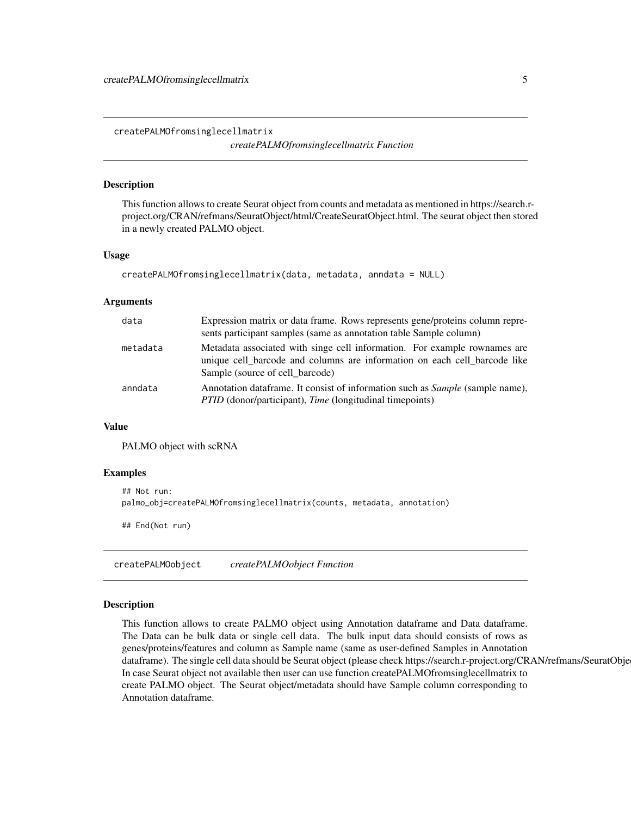<span id="page-4-0"></span>createPALMOfromsinglecellmatrix *createPALMOfromsinglecellmatrix Function*

#### Description

This function allows to create Seurat object from counts and metadata as mentioned in https://search.rproject.org/CRAN/refmans/SeuratObject/html/CreateSeuratObject.html. The seurat object then stored in a newly created PALMO object.

#### Usage

```
createPALMOfromsinglecellmatrix(data, metadata, anndata = NULL)
```
#### Arguments

| data     | Expression matrix or data frame. Rows represents gene/proteins column repre-<br>sents participant samples (same as annotation table Sample column)                                        |
|----------|-------------------------------------------------------------------------------------------------------------------------------------------------------------------------------------------|
| metadata | Metadata associated with singe cell information. For example rownames are<br>unique cell barcode and columns are information on each cell barcode like<br>Sample (source of cell barcode) |
| anndata  | Annotation data frame. It consist of information such as <i>Sample</i> (sample name),<br><i>PTID</i> (donor/participant), <i>Time</i> (longitudinal timepoints)                           |

#### Value

PALMO object with scRNA

#### Examples

```
## Not run:
palmo_obj=createPALMOfromsinglecellmatrix(counts, metadata, annotation)
```
## End(Not run)

createPALMOobject *createPALMOobject Function*

#### Description

This function allows to create PALMO object using Annotation dataframe and Data dataframe. The Data can be bulk data or single cell data. The bulk input data should consists of rows as genes/proteins/features and column as Sample name (same as user-defined Samples in Annotation dataframe). The single cell data should be Seurat object (please check https://search.r-project.org/CRAN/refmans/SeuratObje In case Seurat object not available then user can use function createPALMOfromsinglecellmatrix to create PALMO object. The Seurat object/metadata should have Sample column corresponding to Annotation dataframe.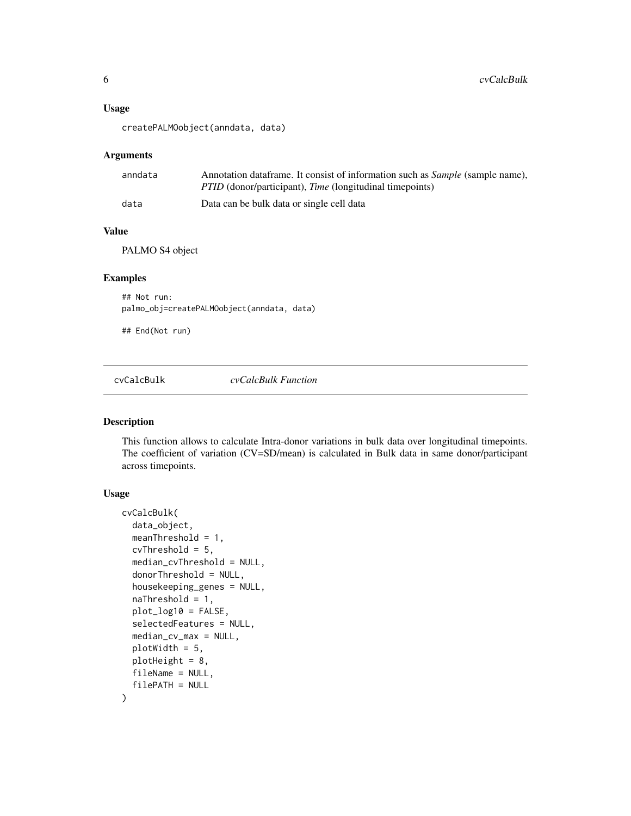#### <span id="page-5-0"></span>Usage

createPALMOobject(anndata, data)

#### Arguments

| anndata | Annotation dataframe. It consist of information such as Sample (sample name), |
|---------|-------------------------------------------------------------------------------|
|         | <i>PTID</i> (donor/participant), <i>Time</i> (longitudinal timepoints)        |
| data    | Data can be bulk data or single cell data                                     |

### Value

PALMO S4 object

## Examples

## Not run: palmo\_obj=createPALMOobject(anndata, data)

## End(Not run)

cvCalcBulk *cvCalcBulk Function*

#### Description

This function allows to calculate Intra-donor variations in bulk data over longitudinal timepoints. The coefficient of variation (CV=SD/mean) is calculated in Bulk data in same donor/participant across timepoints.

## Usage

```
cvCalcBulk(
  data_object,
  meanThreshold = 1,
  cvThreshold = 5,
  median_cvThreshold = NULL,
  donorThreshold = NULL,
  housekeeping_genes = NULL,
  naThreshold = 1,
  plot_log10 = FALSE,
  selectedFeatures = NULL,
  median_cv_max = NULL,
  plotWidth = 5,
 plotHeight = 8,
  fileName = NULL,
  filePATH = NULL
)
```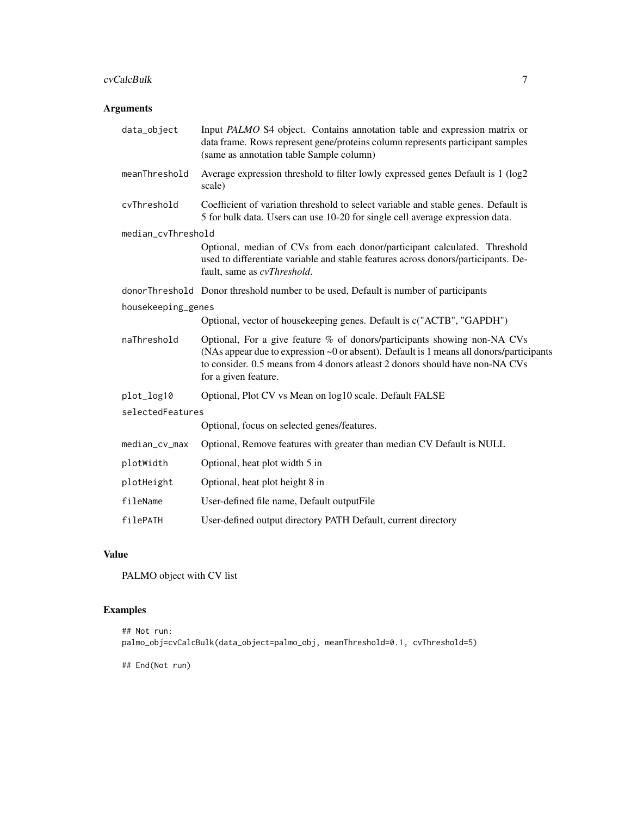#### cvCalcBulk 7

## Arguments

| data_object        | Input PALMO S4 object. Contains annotation table and expression matrix or<br>data frame. Rows represent gene/proteins column represents participant samples<br>(same as annotation table Sample column)                                                                           |
|--------------------|-----------------------------------------------------------------------------------------------------------------------------------------------------------------------------------------------------------------------------------------------------------------------------------|
| meanThreshold      | Average expression threshold to filter lowly expressed genes Default is 1 (log2<br>scale)                                                                                                                                                                                         |
| cvThreshold        | Coefficient of variation threshold to select variable and stable genes. Default is<br>5 for bulk data. Users can use 10-20 for single cell average expression data.                                                                                                               |
| median_cvThreshold |                                                                                                                                                                                                                                                                                   |
|                    | Optional, median of CVs from each donor/participant calculated. Threshold<br>used to differentiate variable and stable features across donors/participants. De-<br>fault, same as cvThreshold.                                                                                    |
|                    | donor Threshold Donor threshold number to be used, Default is number of participants                                                                                                                                                                                              |
| housekeeping_genes |                                                                                                                                                                                                                                                                                   |
|                    | Optional, vector of housekeeping genes. Default is c("ACTB", "GAPDH")                                                                                                                                                                                                             |
| naThreshold        | Optional, For a give feature % of donors/participants showing non-NA CVs<br>(NAs appear due to expression $\sim 0$ or absent). Default is 1 means all donors/participants<br>to consider. 0.5 means from 4 donors atleast 2 donors should have non-NA CVs<br>for a given feature. |
| plot_log10         | Optional, Plot CV vs Mean on log10 scale. Default FALSE                                                                                                                                                                                                                           |
| selectedFeatures   |                                                                                                                                                                                                                                                                                   |
|                    | Optional, focus on selected genes/features.                                                                                                                                                                                                                                       |
| median_cv_max      | Optional, Remove features with greater than median CV Default is NULL                                                                                                                                                                                                             |
| plotWidth          | Optional, heat plot width 5 in                                                                                                                                                                                                                                                    |
| plotHeight         | Optional, heat plot height 8 in                                                                                                                                                                                                                                                   |
| fileName           | User-defined file name, Default output File                                                                                                                                                                                                                                       |
| filePATH           | User-defined output directory PATH Default, current directory                                                                                                                                                                                                                     |

## Value

PALMO object with CV list

## Examples

```
## Not run:
palmo_obj=cvCalcBulk(data_object=palmo_obj, meanThreshold=0.1, cvThreshold=5)
```
## End(Not run)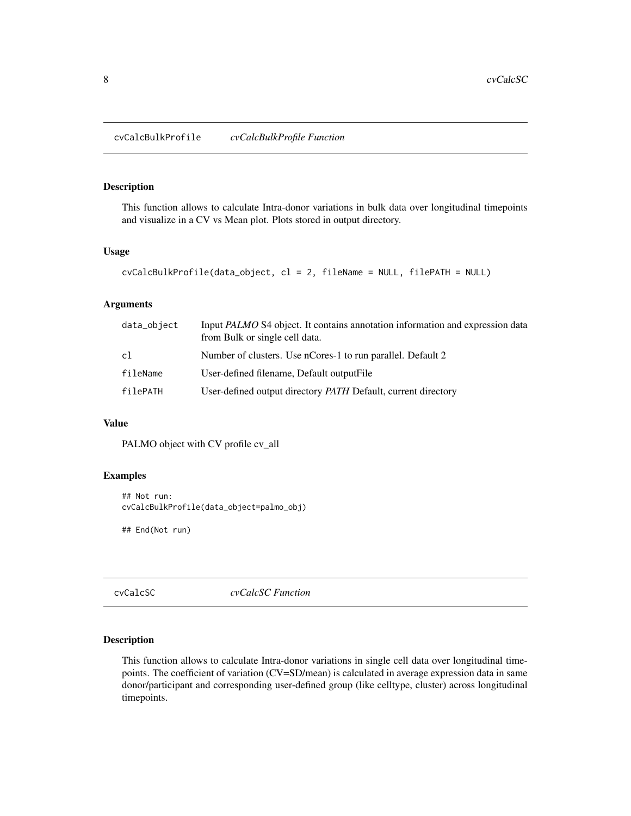## <span id="page-7-0"></span>Description

This function allows to calculate Intra-donor variations in bulk data over longitudinal timepoints and visualize in a CV vs Mean plot. Plots stored in output directory.

## Usage

```
cvCalcBulkProfile(data_object, cl = 2, fileName = NULL, filePATH = NULL)
```
#### Arguments

| data_object | Input <i>PALMO</i> S4 object. It contains annotation information and expression data<br>from Bulk or single cell data. |
|-------------|------------------------------------------------------------------------------------------------------------------------|
| c1          | Number of clusters. Use nCores-1 to run parallel. Default 2                                                            |
| fileName    | User-defined filename, Default output File                                                                             |
| filePATH    | User-defined output directory PATH Default, current directory                                                          |

### Value

PALMO object with CV profile cv\_all

## Examples

```
## Not run:
cvCalcBulkProfile(data_object=palmo_obj)
```
## End(Not run)

cvCalcSC *cvCalcSC Function*

## Description

This function allows to calculate Intra-donor variations in single cell data over longitudinal timepoints. The coefficient of variation (CV=SD/mean) is calculated in average expression data in same donor/participant and corresponding user-defined group (like celltype, cluster) across longitudinal timepoints.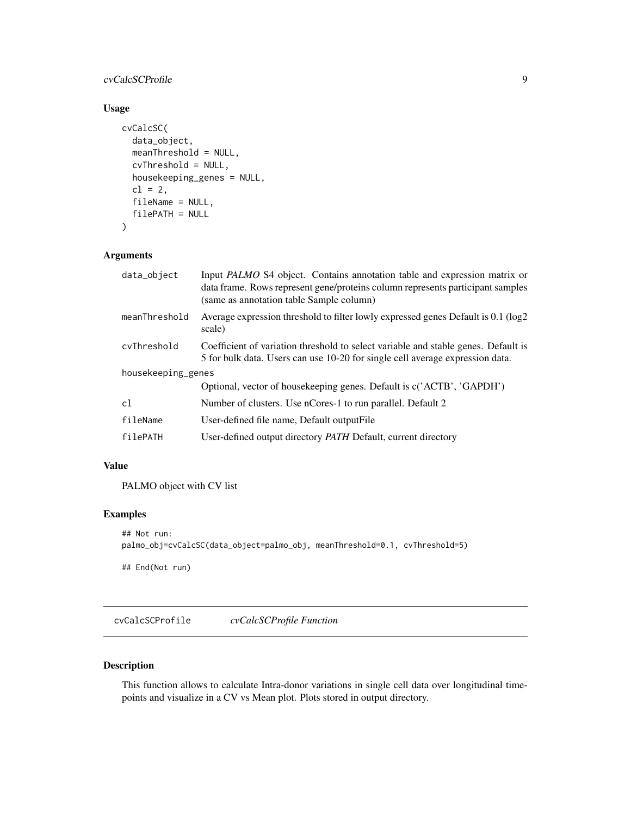## <span id="page-8-0"></span>cvCalcSCProfile 9

## Usage

```
cvCalcSC(
  data_object,
 meanThreshold = NULL,
 cvThreshold = NULL,
 housekeeping_genes = NULL,
 cl = 2,fileName = NULL,
  filePATH = NULL
)
```
## Arguments

| data_object        | Input PALMO S4 object. Contains annotation table and expression matrix or<br>data frame. Rows represent gene/proteins column represents participant samples<br>(same as annotation table Sample column) |
|--------------------|---------------------------------------------------------------------------------------------------------------------------------------------------------------------------------------------------------|
| meanThreshold      | Average expression threshold to filter lowly expressed genes Default is 0.1 (log2)<br>scale)                                                                                                            |
| cvThreshold        | Coefficient of variation threshold to select variable and stable genes. Default is<br>5 for bulk data. Users can use 10-20 for single cell average expression data.                                     |
| housekeeping_genes |                                                                                                                                                                                                         |
|                    | Optional, vector of housekeeping genes. Default is c('ACTB', 'GAPDH')                                                                                                                                   |
| c1                 | Number of clusters. Use nCores-1 to run parallel. Default 2                                                                                                                                             |
| fileName           | User-defined file name, Default output File                                                                                                                                                             |
| filePATH           | User-defined output directory PATH Default, current directory                                                                                                                                           |
|                    |                                                                                                                                                                                                         |

## Value

PALMO object with CV list

## Examples

```
## Not run:
palmo_obj=cvCalcSC(data_object=palmo_obj, meanThreshold=0.1, cvThreshold=5)
## End(Not run)
```
cvCalcSCProfile *cvCalcSCProfile Function*

## Description

This function allows to calculate Intra-donor variations in single cell data over longitudinal timepoints and visualize in a CV vs Mean plot. Plots stored in output directory.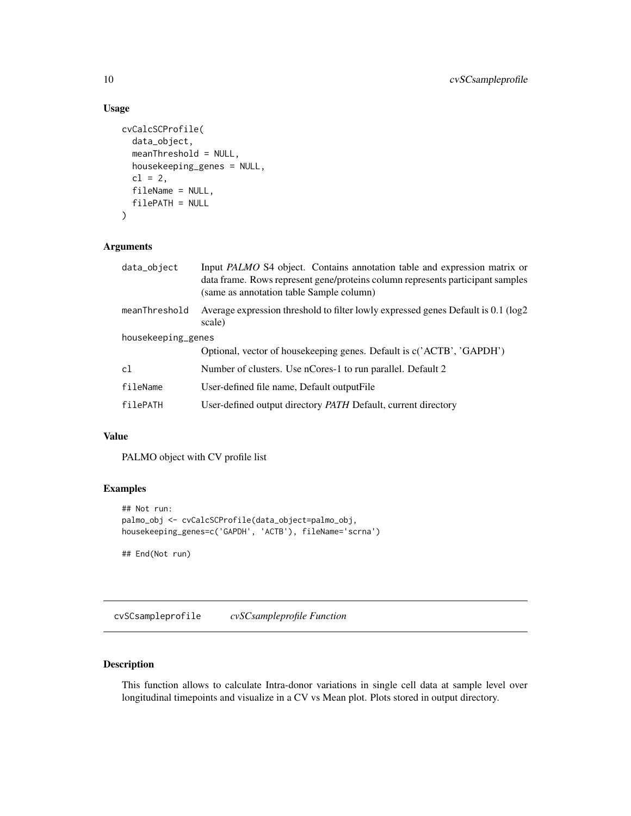## Usage

```
cvCalcSCProfile(
  data_object,
 meanThreshold = NULL,
 housekeeping_genes = NULL,
  cl = 2,fileName = NULL,
  filePATH = NULL
)
```
## Arguments

| data_object        | Input PALMO S4 object. Contains annotation table and expression matrix or<br>data frame. Rows represent gene/proteins column represents participant samples<br>(same as annotation table Sample column) |
|--------------------|---------------------------------------------------------------------------------------------------------------------------------------------------------------------------------------------------------|
| meanThreshold      | Average expression threshold to filter lowly expressed genes Default is 0.1 (log2)<br>scale)                                                                                                            |
| housekeeping_genes |                                                                                                                                                                                                         |
|                    | Optional, vector of housekeeping genes. Default is c('ACTB', 'GAPDH')                                                                                                                                   |
| c1                 | Number of clusters. Use nCores-1 to run parallel. Default 2                                                                                                                                             |
| fileName           | User-defined file name, Default output File                                                                                                                                                             |
| filePATH           | User-defined output directory <i>PATH</i> Default, current directory                                                                                                                                    |

## Value

PALMO object with CV profile list

## Examples

```
## Not run:
palmo_obj <- cvCalcSCProfile(data_object=palmo_obj,
housekeeping_genes=c('GAPDH', 'ACTB'), fileName='scrna')
```
## End(Not run)

cvSCsampleprofile *cvSCsampleprofile Function*

## Description

This function allows to calculate Intra-donor variations in single cell data at sample level over longitudinal timepoints and visualize in a CV vs Mean plot. Plots stored in output directory.

<span id="page-9-0"></span>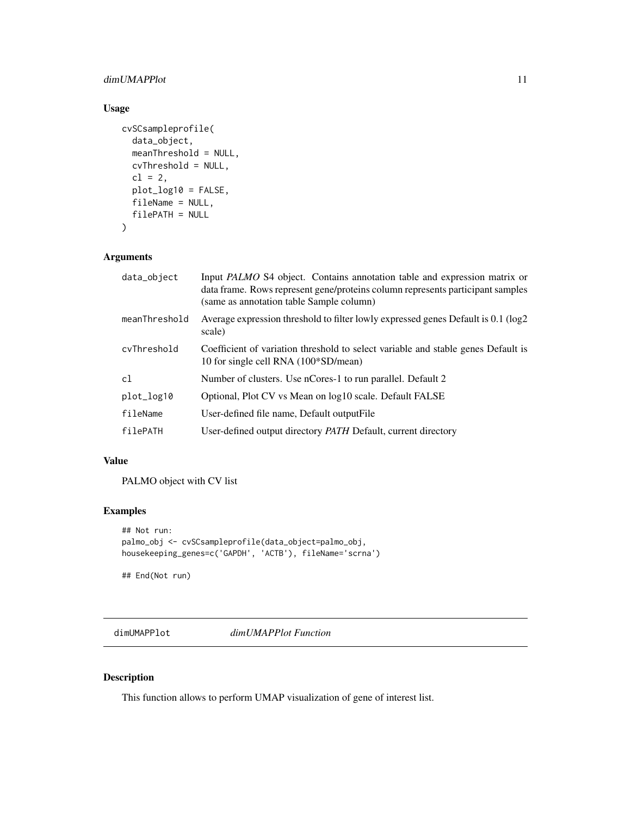## <span id="page-10-0"></span>dimUMAPPlot 11

## Usage

```
cvSCsampleprofile(
  data_object,
 meanThreshold = NULL,
 cvThreshold = NULL,
 cl = 2,
 plot_log10 = FALSE,
 fileName = NULL,
  filePATH = NULL
\mathcal{L}
```
## Arguments

| data_object   | Input PALMO S4 object. Contains annotation table and expression matrix or<br>data frame. Rows represent gene/proteins column represents participant samples<br>(same as annotation table Sample column) |
|---------------|---------------------------------------------------------------------------------------------------------------------------------------------------------------------------------------------------------|
| meanThreshold | Average expression threshold to filter lowly expressed genes Default is 0.1 (log2)<br>scale)                                                                                                            |
| cvThreshold   | Coefficient of variation threshold to select variable and stable genes Default is<br>10 for single cell RNA (100*SD/mean)                                                                               |
| c1            | Number of clusters. Use nCores-1 to run parallel. Default 2                                                                                                                                             |
| plot_log10    | Optional, Plot CV vs Mean on log10 scale. Default FALSE                                                                                                                                                 |
| fileName      | User-defined file name, Default output File                                                                                                                                                             |
| filePATH      | User-defined output directory PATH Default, current directory                                                                                                                                           |

## Value

PALMO object with CV list

#### Examples

```
## Not run:
palmo_obj <- cvSCsampleprofile(data_object=palmo_obj,
housekeeping_genes=c('GAPDH', 'ACTB'), fileName='scrna')
```
## End(Not run)

dimUMAPPlot *dimUMAPPlot Function*

## Description

This function allows to perform UMAP visualization of gene of interest list.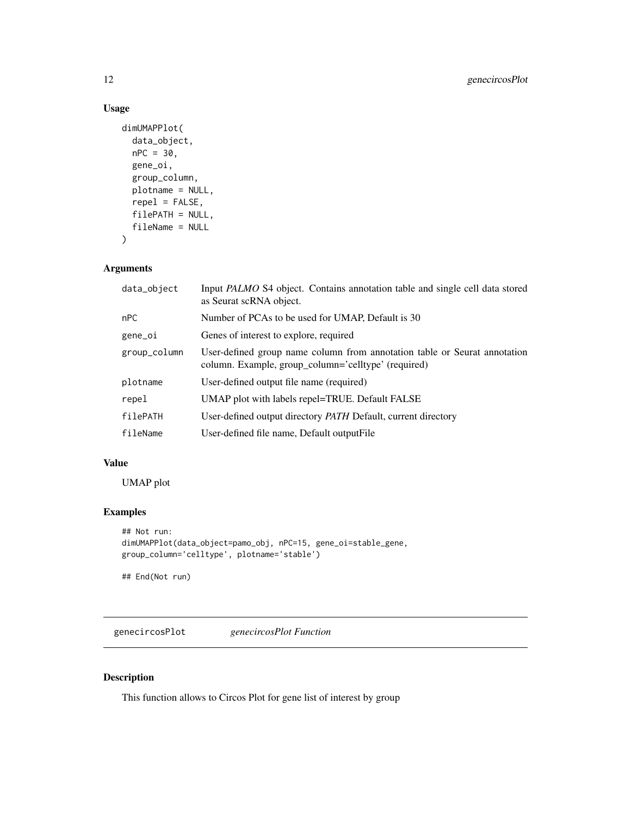## Usage

```
dimUMAPPlot(
  data_object,
 nPC = 30,
 gene_oi,
 group_column,
 plotname = NULL,
 repel = FALSE,
 filePATH = NULL,
 fileName = NULL
)
```
## Arguments

| data_object  | Input PALMO S4 object. Contains annotation table and single cell data stored<br>as Seurat scRNA object.                          |
|--------------|----------------------------------------------------------------------------------------------------------------------------------|
| nPC          | Number of PCAs to be used for UMAP, Default is 30                                                                                |
| gene_oi      | Genes of interest to explore, required                                                                                           |
| group_column | User-defined group name column from annotation table or Seurat annotation<br>column. Example, group_column='celltype' (required) |
| plotname     | User-defined output file name (required)                                                                                         |
| repel        | UMAP plot with labels repel=TRUE. Default FALSE                                                                                  |
| filePATH     | User-defined output directory PATH Default, current directory                                                                    |
| fileName     | User-defined file name, Default output File                                                                                      |

## Value

UMAP plot

## Examples

```
## Not run:
dimUMAPPlot(data_object=pamo_obj, nPC=15, gene_oi=stable_gene,
group_column='celltype', plotname='stable')
```
## End(Not run)

genecircosPlot *genecircosPlot Function*

## Description

This function allows to Circos Plot for gene list of interest by group

<span id="page-11-0"></span>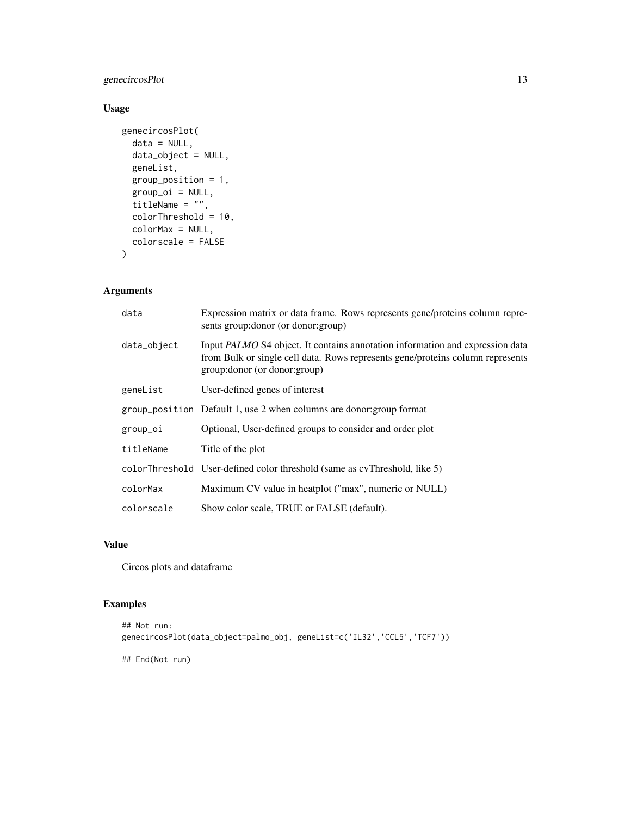## genecircosPlot 13

## Usage

```
genecircosPlot(
 data = NULL,data_object = NULL,
 geneList,
 group_position = 1,
 group\_oi = NULL,titleName = ",
 colorThreshold = 10,
 colorMax = NULL,
 colorscale = FALSE
)
```
## Arguments

| data        | Expression matrix or data frame. Rows represents gene/proteins column repre-<br>sents group: donor (or donor: group)                                                                                     |
|-------------|----------------------------------------------------------------------------------------------------------------------------------------------------------------------------------------------------------|
| data_object | Input <i>PALMO</i> S4 object. It contains annotation information and expression data<br>from Bulk or single cell data. Rows represents gene/proteins column represents<br>group: donor (or donor: group) |
| geneList    | User-defined genes of interest                                                                                                                                                                           |
|             | group_position Default 1, use 2 when columns are donor: group format                                                                                                                                     |
| group_oi    | Optional, User-defined groups to consider and order plot                                                                                                                                                 |
| titleName   | Title of the plot                                                                                                                                                                                        |
|             | colorThreshold User-defined color threshold (same as cyThreshold, like 5)                                                                                                                                |
| colorMax    | Maximum CV value in heatplot ("max", numeric or NULL)                                                                                                                                                    |
| colorscale  | Show color scale, TRUE or FALSE (default).                                                                                                                                                               |

## Value

Circos plots and dataframe

## Examples

```
## Not run:
genecircosPlot(data_object=palmo_obj, geneList=c('IL32','CCL5','TCF7'))
```
## End(Not run)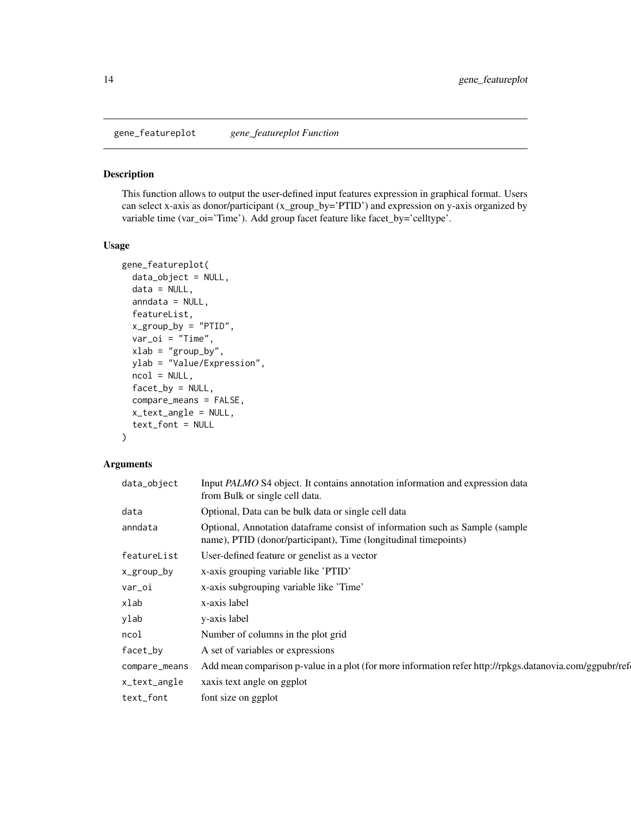<span id="page-13-0"></span>gene\_featureplot *gene\_featureplot Function*

#### Description

This function allows to output the user-defined input features expression in graphical format. Users can select x-axis as donor/participant (x\_group\_by='PTID') and expression on y-axis organized by variable time (var\_oi='Time'). Add group facet feature like facet\_by='celltype'.

#### Usage

```
gene_featureplot(
  data_object = NULL,
  data = NULL,anndata = NULL,featureList,
  x_group_by = "PTID",
  var_oi = "Time",
  xlab = "group_by",
 ylab = "Value/Expression",
  ncol = NULL,factor_by = NULL,compare_means = FALSE,
  x_text_angle = NULL,
  text_font = NULL
)
```
## Arguments

| data_object   | Input PALMO S4 object. It contains annotation information and expression data<br>from Bulk or single cell data.                                 |
|---------------|-------------------------------------------------------------------------------------------------------------------------------------------------|
| data          | Optional, Data can be bulk data or single cell data                                                                                             |
| anndata       | Optional, Annotation dataframe consist of information such as Sample (sample<br>name), PTID (donor/participant), Time (longitudinal timepoints) |
| featureList   | User-defined feature or genelist as a vector                                                                                                    |
| x_group_by    | x-axis grouping variable like 'PTID'                                                                                                            |
| var_oi        | x-axis subgrouping variable like 'Time'                                                                                                         |
| xlab          | x-axis label                                                                                                                                    |
| ylab          | y-axis label                                                                                                                                    |
| ncol          | Number of columns in the plot grid                                                                                                              |
| facet_by      | A set of variables or expressions                                                                                                               |
| compare_means | Add mean comparison p-value in a plot (for more information refer http://rpkgs.datanovia.com/ggpubr/ref                                         |
| x_text_angle  | xaxis text angle on ggplot                                                                                                                      |
| text_font     | font size on ggplot                                                                                                                             |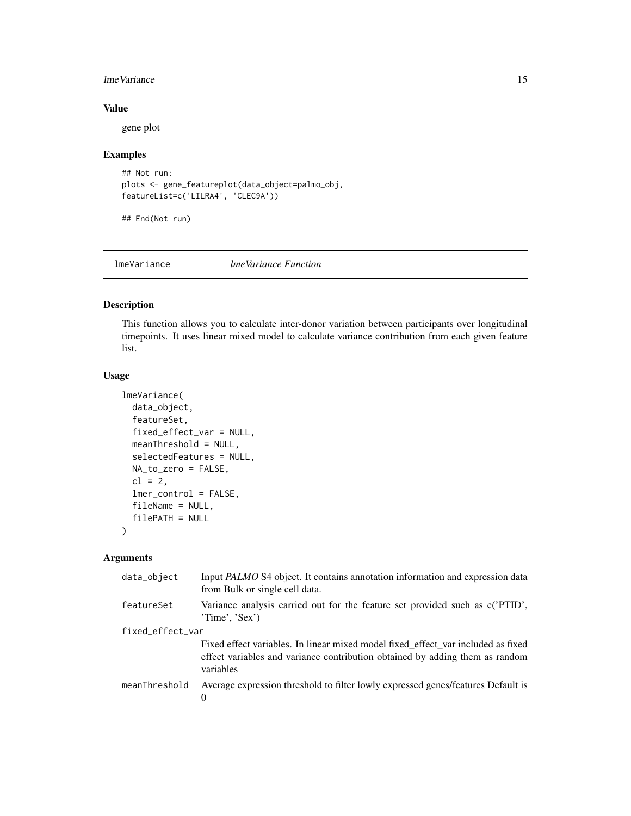## <span id="page-14-0"></span>lmeVariance 15

## Value

gene plot

## Examples

```
## Not run:
plots <- gene_featureplot(data_object=palmo_obj,
featureList=c('LILRA4', 'CLEC9A'))
```
## End(Not run)

lmeVariance *lmeVariance Function*

## Description

This function allows you to calculate inter-donor variation between participants over longitudinal timepoints. It uses linear mixed model to calculate variance contribution from each given feature list.

## Usage

```
lmeVariance(
  data_object,
  featureSet,
  fixed_effect_var = NULL,
  meanThreshold = NULL,
  selectedFeatures = NULL,
 NA_to_zero = FALSE,
  cl = 2,lmer_control = FALSE,
  fileName = NULL,
  filePATH = NULL
)
```
## Arguments

| data_object      | Input <i>PALMO</i> S4 object. It contains annotation information and expression data<br>from Bulk or single cell data.                                                        |
|------------------|-------------------------------------------------------------------------------------------------------------------------------------------------------------------------------|
| featureSet       | Variance analysis carried out for the feature set provided such as c('PTID',<br>'Time', 'Sex')                                                                                |
| fixed_effect_var |                                                                                                                                                                               |
|                  | Fixed effect variables. In linear mixed model fixed_effect_var included as fixed<br>effect variables and variance contribution obtained by adding them as random<br>variables |
| meanThreshold    | Average expression threshold to filter lowly expressed genes/features Default is                                                                                              |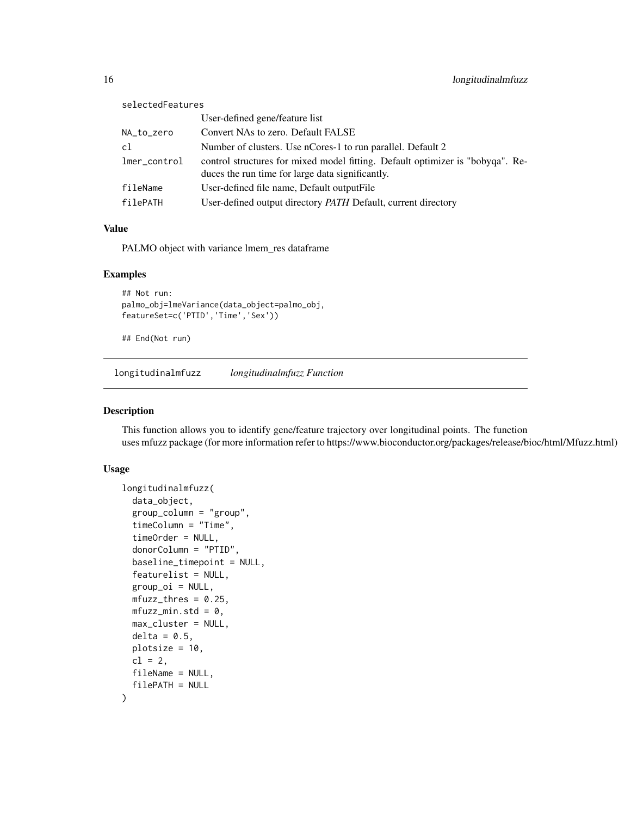<span id="page-15-0"></span>

| selectedFeatures |                                                                                                                                    |
|------------------|------------------------------------------------------------------------------------------------------------------------------------|
|                  | User-defined gene/feature list                                                                                                     |
| NA_to_zero       | Convert NAs to zero. Default FALSE                                                                                                 |
| c1               | Number of clusters. Use nCores-1 to run parallel. Default 2                                                                        |
| lmer_control     | control structures for mixed model fitting. Default optimizer is "bobyqa". Re-<br>duces the run time for large data significantly. |
| fileName         | User-defined file name, Default output File                                                                                        |
| filePATH         | User-defined output directory <i>PATH</i> Default, current directory                                                               |

## Value

PALMO object with variance lmem\_res dataframe

#### Examples

```
## Not run:
palmo_obj=lmeVariance(data_object=palmo_obj,
featureSet=c('PTID','Time','Sex'))
```
## End(Not run)

longitudinalmfuzz *longitudinalmfuzz Function*

#### Description

This function allows you to identify gene/feature trajectory over longitudinal points. The function uses mfuzz package (for more information refer to https://www.bioconductor.org/packages/release/bioc/html/Mfuzz.html)

#### Usage

```
longitudinalmfuzz(
  data_object,
  group_column = "group",
  timeColumn = "Time",
  timeOrder = NULL,
  donorColumn = "PTID",
  baseline_timepoint = NULL,
  featurelist = NULL,
  group_oi = NULL,
 mfuzz_thres = 0.25,
 mfuzz\_min.std = 0,max_cluster = NULL,
  delta = 0.5,
 plotsize = 10,
  cl = 2,
  fileName = NULL,
  filePATH = NULL
)
```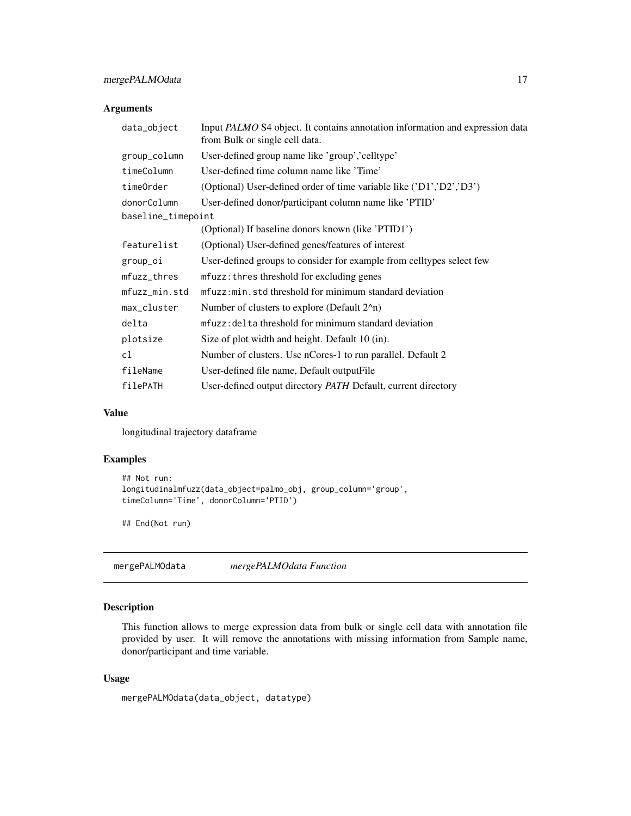## <span id="page-16-0"></span>Arguments

| data_object        | Input PALMO S4 object. It contains annotation information and expression data<br>from Bulk or single cell data. |
|--------------------|-----------------------------------------------------------------------------------------------------------------|
| group_column       | User-defined group name like 'group', 'celltype'                                                                |
| timeColumn         | User-defined time column name like 'Time'                                                                       |
| timeOrder          | (Optional) User-defined order of time variable like ('D1','D2','D3')                                            |
| donorColumn        | User-defined donor/participant column name like 'PTID'                                                          |
| baseline_timepoint |                                                                                                                 |
|                    | (Optional) If baseline donors known (like 'PTID1')                                                              |
| featurelist        | (Optional) User-defined genes/features of interest                                                              |
| group_oi           | User-defined groups to consider for example from celltypes select few                                           |
| mfuzz_thres        | mfuzz: thres threshold for excluding genes                                                                      |
| mfuzz_min.std      | mfuzz: min. std threshold for minimum standard deviation                                                        |
| max_cluster        | Number of clusters to explore (Default $22$ n)                                                                  |
| delta              | mfuzz: delta threshold for minimum standard deviation                                                           |
| plotsize           | Size of plot width and height. Default 10 (in).                                                                 |
| c1                 | Number of clusters. Use nCores-1 to run parallel. Default 2                                                     |
| fileName           | User-defined file name, Default output File                                                                     |
| filePATH           | User-defined output directory PATH Default, current directory                                                   |

## Value

longitudinal trajectory dataframe

## Examples

```
## Not run:
longitudinalmfuzz(data_object=palmo_obj, group_column='group',
timeColumn='Time', donorColumn='PTID')
## End(Not run)
```
mergePALMOdata *mergePALMOdata Function*

## Description

This function allows to merge expression data from bulk or single cell data with annotation file provided by user. It will remove the annotations with missing information from Sample name, donor/participant and time variable.

#### Usage

mergePALMOdata(data\_object, datatype)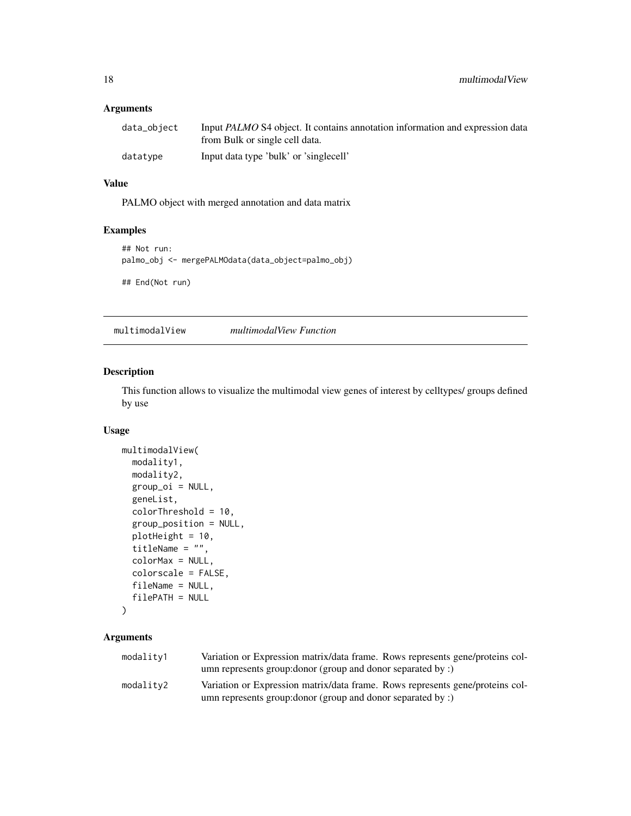## <span id="page-17-0"></span>Arguments

| data_object | Input <i>PALMO</i> S4 object. It contains annotation information and expression data<br>from Bulk or single cell data. |
|-------------|------------------------------------------------------------------------------------------------------------------------|
| datatype    | Input data type 'bulk' or 'singlecell'                                                                                 |

## Value

PALMO object with merged annotation and data matrix

## Examples

```
## Not run:
palmo_obj <- mergePALMOdata(data_object=palmo_obj)
```
## End(Not run)

multimodalView *multimodalView Function*

## Description

This function allows to visualize the multimodal view genes of interest by celltypes/ groups defined by use

## Usage

```
multimodalView(
 modality1,
 modality2,
 group_oi = NULL,
  geneList,
  colorThreshold = 10,
  group_position = NULL,
 plotHeight = 10,
  titleName = ",
  colorMax = NULL,
  colorscale = FALSE,
  fileName = NULL,
  filePATH = NULL
```

```
)
```
## Arguments

| modality1 | Variation or Expression matrix/data frame. Rows represents gene/proteins col- |
|-----------|-------------------------------------------------------------------------------|
|           | umn represents group: donor (group and donor separated by :)                  |
| modality2 | Variation or Expression matrix/data frame. Rows represents gene/proteins col- |
|           | umn represents group: donor (group and donor separated by :)                  |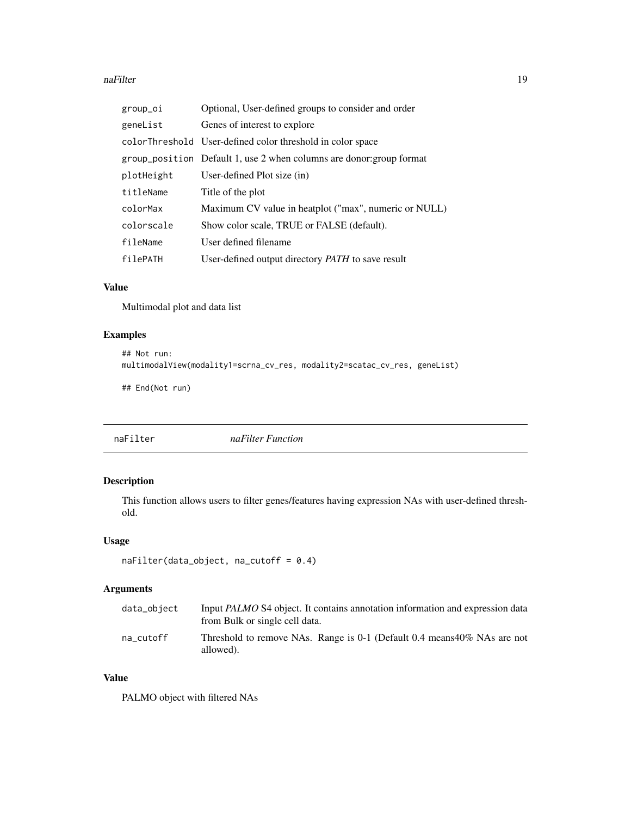#### <span id="page-18-0"></span>naFilter 19

| group_oi   | Optional, User-defined groups to consider and order                  |
|------------|----------------------------------------------------------------------|
| geneList   | Genes of interest to explore                                         |
|            | colorThreshold User-defined color threshold in color space           |
|            | group_position Default 1, use 2 when columns are donor: group format |
| plotHeight | User-defined Plot size (in)                                          |
| titleName  | Title of the plot                                                    |
| colorMax   | Maximum CV value in heatplot ("max", numeric or NULL)                |
| colorscale | Show color scale, TRUE or FALSE (default).                           |
| fileName   | User defined filename                                                |
| filePATH   | User-defined output directory PATH to save result                    |

## Value

Multimodal plot and data list

## Examples

```
## Not run:
multimodalView(modality1=scrna_cv_res, modality2=scatac_cv_res, geneList)
## End(Not run)
```
## naFilter *naFilter Function*

## Description

This function allows users to filter genes/features having expression NAs with user-defined threshold.

## Usage

```
naFilter(data_object, na_cutoff = 0.4)
```
## Arguments

| data_object | Input <i>PALMO</i> S4 object. It contains annotation information and expression data<br>from Bulk or single cell data. |
|-------------|------------------------------------------------------------------------------------------------------------------------|
| na cutoff   | Threshold to remove NAs. Range is 0-1 (Default 0.4 means $40\%$ NAs are not<br>allowed).                               |

## Value

PALMO object with filtered NAs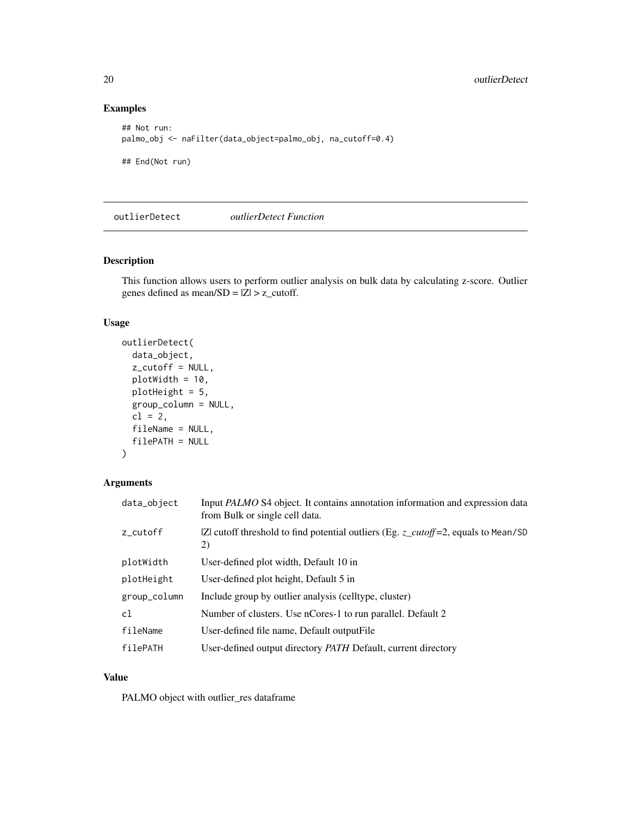## Examples

```
## Not run:
palmo_obj <- naFilter(data_object=palmo_obj, na_cutoff=0.4)
## End(Not run)
```
outlierDetect *outlierDetect Function*

## Description

This function allows users to perform outlier analysis on bulk data by calculating z-score. Outlier genes defined as mean/ $SD = |Z| > z$ \_cutoff.

## Usage

```
outlierDetect(
  data_object,
  z_cutoff = NULL,
  plotWidth = 10,
  plotHeight = 5,
  group_column = NULL,
  cl = 2,
  fileName = NULL,
  filePATH = NULL
)
```
## Arguments

| data_object  | Input PALMO S4 object. It contains annotation information and expression data<br>from Bulk or single cell data. |
|--------------|-----------------------------------------------------------------------------------------------------------------|
| z_cutoff     | $ Z $ cutoff threshold to find potential outliers (Eg. $z$ _cutoff=2, equals to Mean/SD<br>2)                   |
| plotWidth    | User-defined plot width, Default 10 in                                                                          |
| plotHeight   | User-defined plot height, Default 5 in                                                                          |
| group_column | Include group by outlier analysis (celltype, cluster)                                                           |
| cl           | Number of clusters. Use nCores-1 to run parallel. Default 2                                                     |
| fileName     | User-defined file name, Default output File                                                                     |
| filePATH     | User-defined output directory <i>PATH</i> Default, current directory                                            |

#### Value

PALMO object with outlier\_res dataframe

<span id="page-19-0"></span>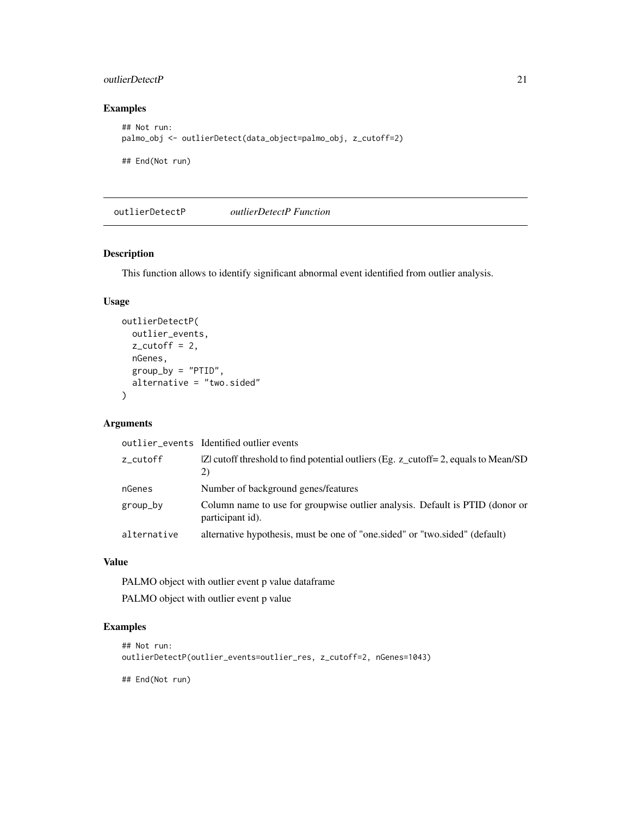## <span id="page-20-0"></span>outlierDetectP 21

## Examples

```
## Not run:
palmo_obj <- outlierDetect(data_object=palmo_obj, z_cutoff=2)
## End(Not run)
```
outlierDetectP *outlierDetectP Function*

## Description

This function allows to identify significant abnormal event identified from outlier analysis.

## Usage

```
outlierDetectP(
 outlier_events,
 z_cutoff = 2,
 nGenes,
 group_by = "PTID",
  alternative = "two.sided"
)
```
## Arguments

|             | outlier events Identified outlier events                                                         |
|-------------|--------------------------------------------------------------------------------------------------|
| z_cutoff    | $ Z $ cutoff threshold to find potential outliers (Eg. z_cutoff= 2, equals to Mean/SD<br>2)      |
| nGenes      | Number of background genes/features                                                              |
| group_by    | Column name to use for groupwise outlier analysis. Default is PTID (donor or<br>participant id). |
| alternative | alternative hypothesis, must be one of "one sided" or "two sided" (default)                      |

## Value

PALMO object with outlier event p value dataframe

PALMO object with outlier event p value

## Examples

```
## Not run:
outlierDetectP(outlier_events=outlier_res, z_cutoff=2, nGenes=1043)
```
## End(Not run)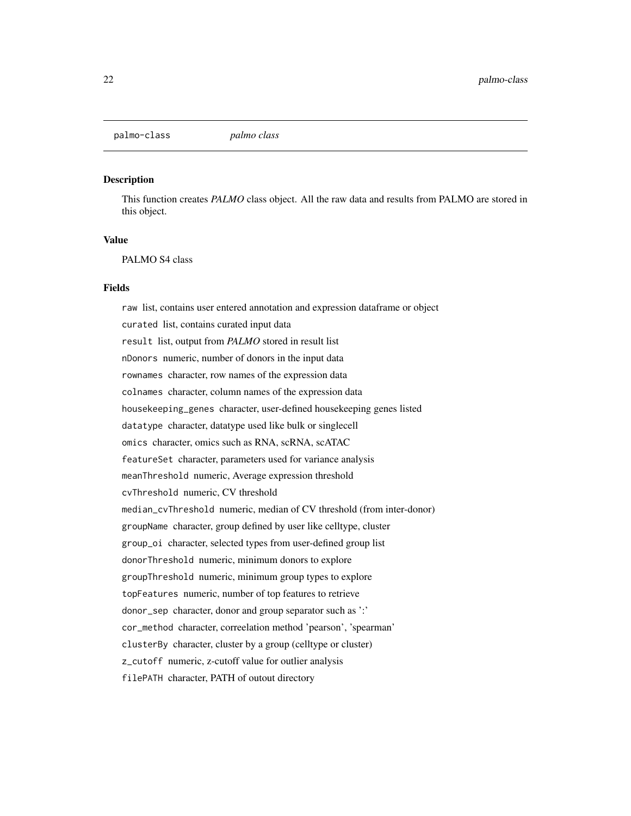<span id="page-21-0"></span>palmo-class *palmo class*

#### Description

This function creates *PALMO* class object. All the raw data and results from PALMO are stored in this object.

## Value

PALMO S4 class

## Fields

raw list, contains user entered annotation and expression dataframe or object curated list, contains curated input data result list, output from *PALMO* stored in result list nDonors numeric, number of donors in the input data rownames character, row names of the expression data colnames character, column names of the expression data housekeeping\_genes character, user-defined housekeeping genes listed datatype character, datatype used like bulk or singlecell omics character, omics such as RNA, scRNA, scATAC featureSet character, parameters used for variance analysis meanThreshold numeric, Average expression threshold cvThreshold numeric, CV threshold median\_cvThreshold numeric, median of CV threshold (from inter-donor) groupName character, group defined by user like celltype, cluster group\_oi character, selected types from user-defined group list donorThreshold numeric, minimum donors to explore groupThreshold numeric, minimum group types to explore topFeatures numeric, number of top features to retrieve donor\_sep character, donor and group separator such as ':' cor\_method character, correelation method 'pearson', 'spearman' clusterBy character, cluster by a group (celltype or cluster) z\_cutoff numeric, z-cutoff value for outlier analysis filePATH character, PATH of outout directory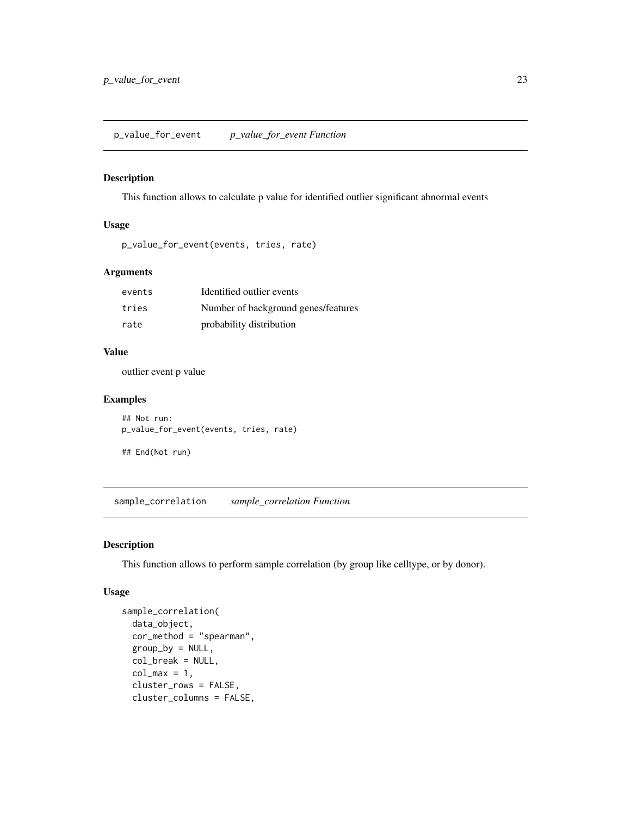## <span id="page-22-0"></span>Description

This function allows to calculate p value for identified outlier significant abnormal events

#### Usage

```
p_value_for_event(events, tries, rate)
```
## Arguments

| events | Identified outlier events           |
|--------|-------------------------------------|
| tries  | Number of background genes/features |
| rate   | probability distribution            |

## Value

outlier event p value

#### Examples

```
## Not run:
p_value_for_event(events, tries, rate)
```

```
## End(Not run)
```
sample\_correlation *sample\_correlation Function*

## Description

This function allows to perform sample correlation (by group like celltype, or by donor).

## Usage

```
sample_correlation(
 data_object,
 cor_{\text{method}} = "spearman".group_by = NULL,
 col_break = NULL,
 col_max = 1,
 cluster_rows = FALSE,
 cluster_columns = FALSE,
```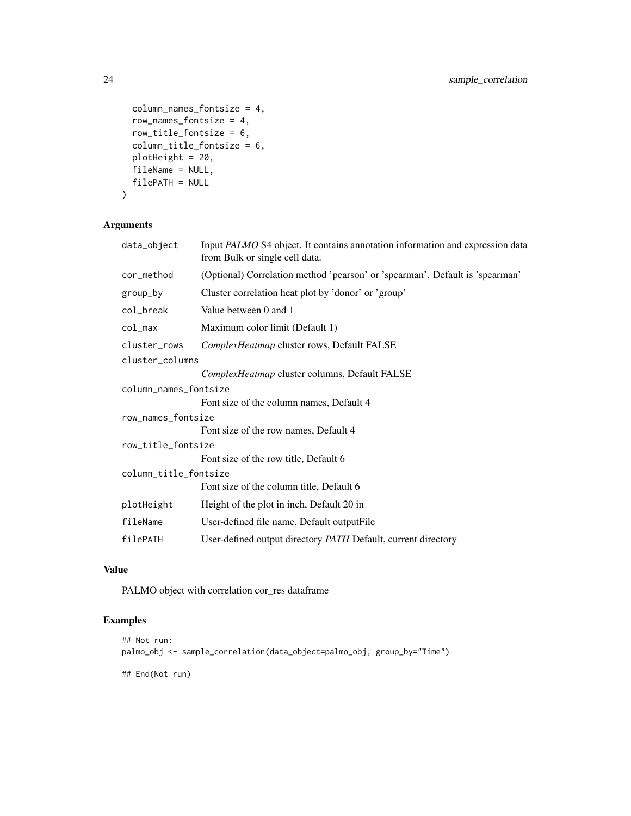```
column_names_fontsize = 4,
  row_names_fontsize = 4,
 row_title_fontsize = 6,
 column_title_fontsize = 6,
 plotHeight = 20,
 fileName = NULL,
 filePATH = NULL
\mathcal{L}
```
## Arguments

| data_object           | Input PALMO S4 object. It contains annotation information and expression data<br>from Bulk or single cell data. |
|-----------------------|-----------------------------------------------------------------------------------------------------------------|
| cor_method            | (Optional) Correlation method 'pearson' or 'spearman'. Default is 'spearman'                                    |
| group_by              | Cluster correlation heat plot by 'donor' or 'group'                                                             |
| col_break             | Value between 0 and 1                                                                                           |
| col_max               | Maximum color limit (Default 1)                                                                                 |
| cluster_rows          | ComplexHeatmap cluster rows, Default FALSE                                                                      |
| cluster_columns       |                                                                                                                 |
|                       | ComplexHeatmap cluster columns, Default FALSE                                                                   |
| column_names_fontsize |                                                                                                                 |
|                       | Font size of the column names, Default 4                                                                        |
| row_names_fontsize    |                                                                                                                 |
|                       | Font size of the row names, Default 4                                                                           |
| row_title_fontsize    |                                                                                                                 |
|                       | Font size of the row title, Default 6                                                                           |
| column_title_fontsize |                                                                                                                 |
|                       | Font size of the column title, Default 6                                                                        |
| plotHeight            | Height of the plot in inch, Default 20 in                                                                       |
| fileName              | User-defined file name, Default output File                                                                     |
| filePATH              | User-defined output directory PATH Default, current directory                                                   |

## Value

PALMO object with correlation cor\_res dataframe

## Examples

```
## Not run:
palmo_obj <- sample_correlation(data_object=palmo_obj, group_by="Time")
## End(Not run)
```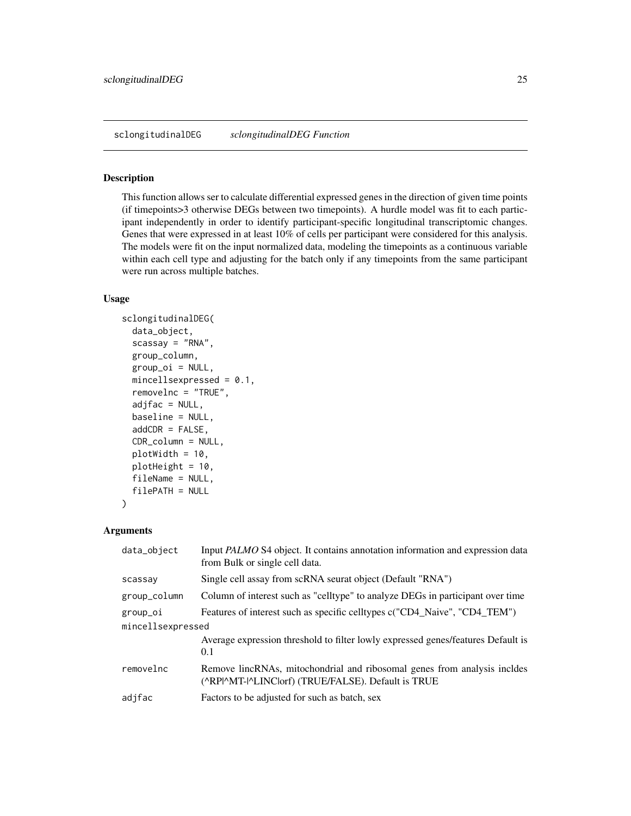#### <span id="page-24-0"></span>Description

This function allows ser to calculate differential expressed genes in the direction of given time points (if timepoints>3 otherwise DEGs between two timepoints). A hurdle model was fit to each participant independently in order to identify participant-specific longitudinal transcriptomic changes. Genes that were expressed in at least 10% of cells per participant were considered for this analysis. The models were fit on the input normalized data, modeling the timepoints as a continuous variable within each cell type and adjusting for the batch only if any timepoints from the same participant were run across multiple batches.

#### Usage

```
sclongitudinalDEG(
  data_object,
  scassay = "RNA",group_column,
 group_oi = NULL,
 mincellsexpressed = 0.1,
  removelnc = "TRUE",
  adjfac = NULL,baseline = NULL,
  addCDR = FALSE,CDR_column = NULL,
 plotWidth = 10,
 plotHeight = 10,
  fileName = NULL,
  filePATH = NULL
)
```
#### **Arguments**

| data_object       | Input PALMO S4 object. It contains annotation information and expression data<br>from Bulk or single cell data.                |  |
|-------------------|--------------------------------------------------------------------------------------------------------------------------------|--|
| scassay           | Single cell assay from scRNA seurat object (Default "RNA")                                                                     |  |
| group_column      | Column of interest such as "celltype" to analyze DEGs in participant over time                                                 |  |
| group_oi          | Features of interest such as specific celltypes c("CD4_Naive", "CD4_TEM")                                                      |  |
| mincellsexpressed |                                                                                                                                |  |
|                   | Average expression threshold to filter lowly expressed genes/features Default is<br>0.1                                        |  |
| removelnc         | Remove lincRNAs, mitochondrial and ribosomal genes from analysis incldes<br>(^RP ^MT- ^LINC orf) (TRUE/FALSE). Default is TRUE |  |
| adjfac            | Factors to be adjusted for such as batch, sex                                                                                  |  |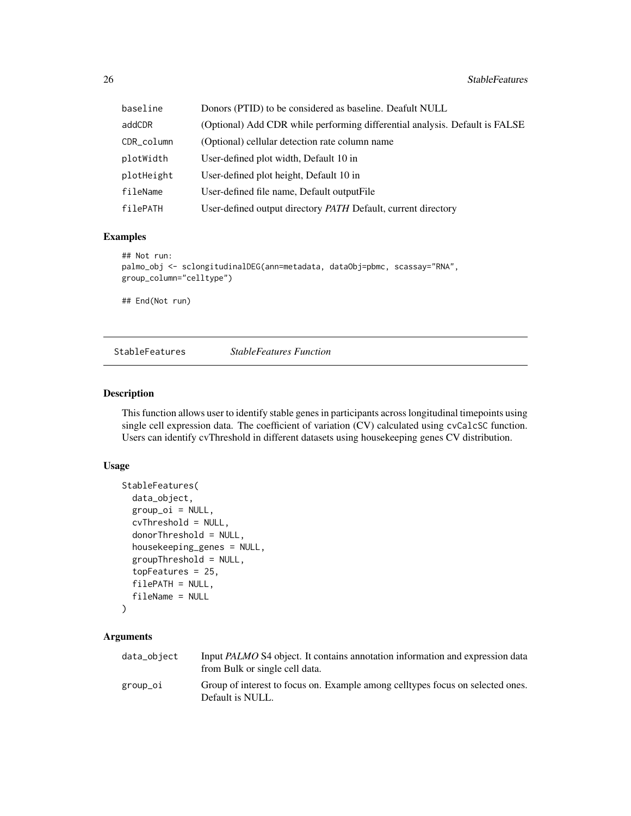<span id="page-25-0"></span>

| baseline   | Donors (PTID) to be considered as baseline. Deafult NULL                    |
|------------|-----------------------------------------------------------------------------|
| addCDR     | (Optional) Add CDR while performing differential analysis. Default is FALSE |
| CDR_column | (Optional) cellular detection rate column name                              |
| plotWidth  | User-defined plot width, Default 10 in                                      |
| plotHeight | User-defined plot height, Default 10 in                                     |
| fileName   | User-defined file name, Default output File                                 |
| filePATH   | User-defined output directory PATH Default, current directory               |

## Examples

```
## Not run:
palmo_obj <- sclongitudinalDEG(ann=metadata, dataObj=pbmc, scassay="RNA",
group_column="celltype")
```
## End(Not run)

StableFeatures *StableFeatures Function*

#### Description

This function allows user to identify stable genes in participants across longitudinal timepoints using single cell expression data. The coefficient of variation (CV) calculated using cvCalcSC function. Users can identify cvThreshold in different datasets using housekeeping genes CV distribution.

## Usage

```
StableFeatures(
  data_object,
  group_oi = NULL,
  cvThreshold = NULL,
  donorThreshold = NULL,
  housekeeping_genes = NULL,
  groupThreshold = NULL,
  topFeatures = 25,
  filePATH = NULL,
  fileName = NULL
)
```
## Arguments

| data_object | Input <i>PALMO</i> S4 object. It contains annotation information and expression data<br>from Bulk or single cell data. |
|-------------|------------------------------------------------------------------------------------------------------------------------|
| group_oi    | Group of interest to focus on. Example among celltypes focus on selected ones.<br>Default is NULL.                     |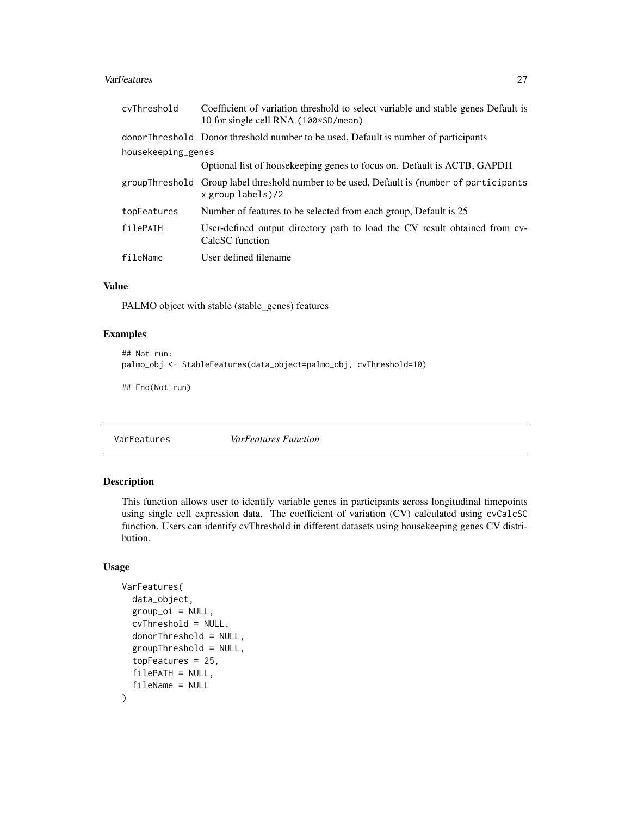#### <span id="page-26-0"></span>VarFeatures 27

| cvThreshold        | Coefficient of variation threshold to select variable and stable genes Default is<br>10 for single cell RNA (100*SD/mean) |  |
|--------------------|---------------------------------------------------------------------------------------------------------------------------|--|
|                    | donor Threshold Donor threshold number to be used, Default is number of participants                                      |  |
| housekeeping_genes |                                                                                                                           |  |
|                    | Optional list of house keeping genes to focus on. Default is ACTB, GAPDH                                                  |  |
|                    | groupThreshold Group label threshold number to be used, Default is (number of participants<br>$x$ group labels)/2         |  |
| topFeatures        | Number of features to be selected from each group, Default is 25                                                          |  |
| filePATH           | User-defined output directory path to load the CV result obtained from cv-<br>CalcSC function                             |  |
| fileName           | User defined filename                                                                                                     |  |

## Value

PALMO object with stable (stable\_genes) features

## Examples

```
## Not run:
palmo_obj <- StableFeatures(data_object=palmo_obj, cvThreshold=10)
## End(Not run)
```
VarFeatures *VarFeatures Function*

## Description

This function allows user to identify variable genes in participants across longitudinal timepoints using single cell expression data. The coefficient of variation (CV) calculated using cvCalcSC function. Users can identify cvThreshold in different datasets using housekeeping genes CV distribution.

## Usage

```
VarFeatures(
  data_object,
  group\_oi = NULL,cvThreshold = NULL,
  donorThreshold = NULL,
  groupThreshold = NULL,
  topFeatures = 25,
  filePATH = NULL,
  fileName = NULL
\mathcal{E}
```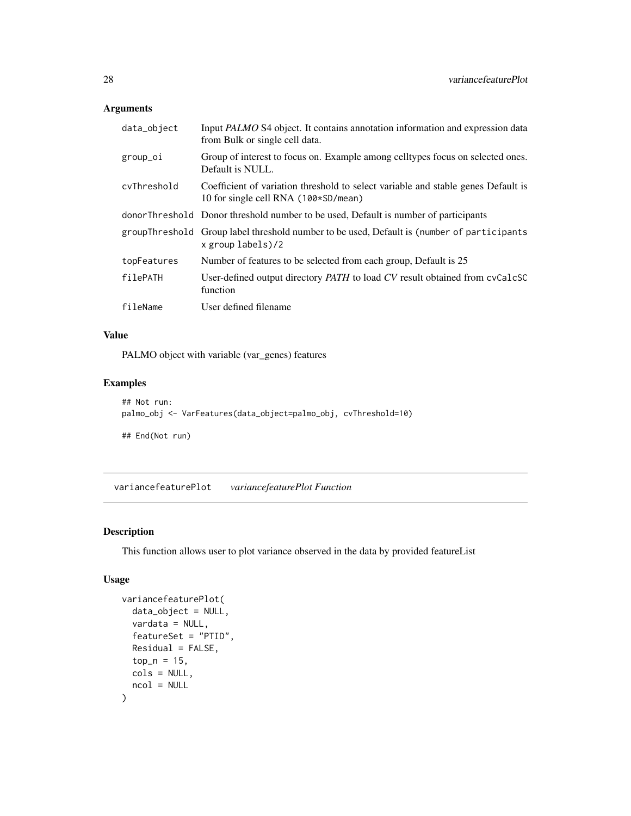## <span id="page-27-0"></span>Arguments

| data_object | Input PALMO S4 object. It contains annotation information and expression data<br>from Bulk or single cell data.           |
|-------------|---------------------------------------------------------------------------------------------------------------------------|
| group_oi    | Group of interest to focus on. Example among celltypes focus on selected ones.<br>Default is NULL.                        |
| cvThreshold | Coefficient of variation threshold to select variable and stable genes Default is<br>10 for single cell RNA (100*SD/mean) |
|             | donor Threshold Donor threshold number to be used, Default is number of participants                                      |
|             | groupThreshold Group label threshold number to be used, Default is (number of participants<br>x group labels)/2           |
| topFeatures | Number of features to be selected from each group, Default is 25                                                          |
| filePATH    | User-defined output directory <i>PATH</i> to load CV result obtained from cyCalcSC<br>function                            |
| fileName    | User defined filename                                                                                                     |

## Value

PALMO object with variable (var\_genes) features

## Examples

```
## Not run:
palmo_obj <- VarFeatures(data_object=palmo_obj, cvThreshold=10)
## End(Not run)
```
variancefeaturePlot *variancefeaturePlot Function*

## Description

This function allows user to plot variance observed in the data by provided featureList

## Usage

```
variancefeaturePlot(
 data_object = NULL,
 vardata = NULL,
  featureSet = "PTID",
 Residual = FALSE,
 top_n = 15,
 cols = NULL,
 ncol = NULL
)
```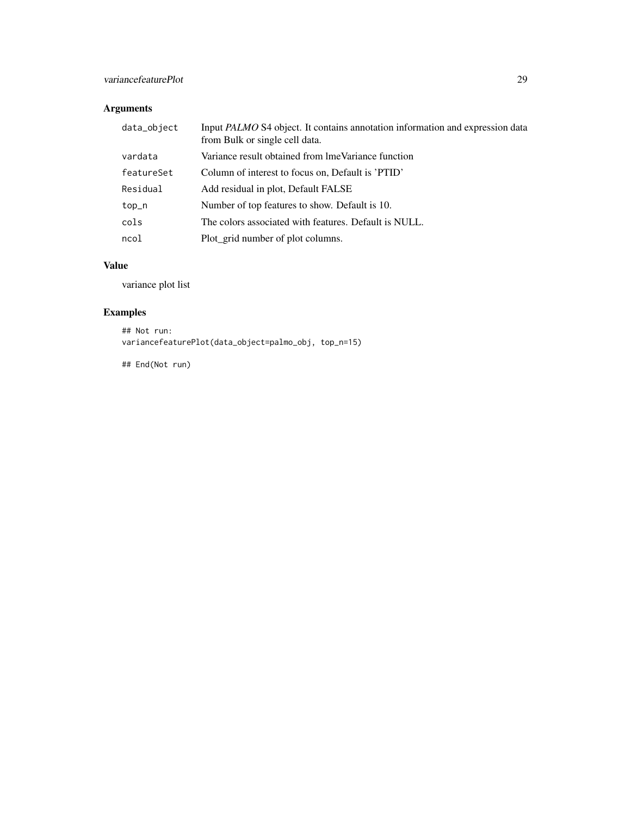## Arguments

| data_object | Input PALMO S4 object. It contains annotation information and expression data<br>from Bulk or single cell data. |
|-------------|-----------------------------------------------------------------------------------------------------------------|
| vardata     | Variance result obtained from lmeVariance function                                                              |
| featureSet  | Column of interest to focus on, Default is 'PTID'                                                               |
| Residual    | Add residual in plot, Default FALSE                                                                             |
| top_n       | Number of top features to show. Default is 10.                                                                  |
| cols        | The colors associated with features. Default is NULL.                                                           |
| ncol        | Plot_grid number of plot columns.                                                                               |

## Value

variance plot list

## Examples

## Not run: variancefeaturePlot(data\_object=palmo\_obj, top\_n=15)

## End(Not run)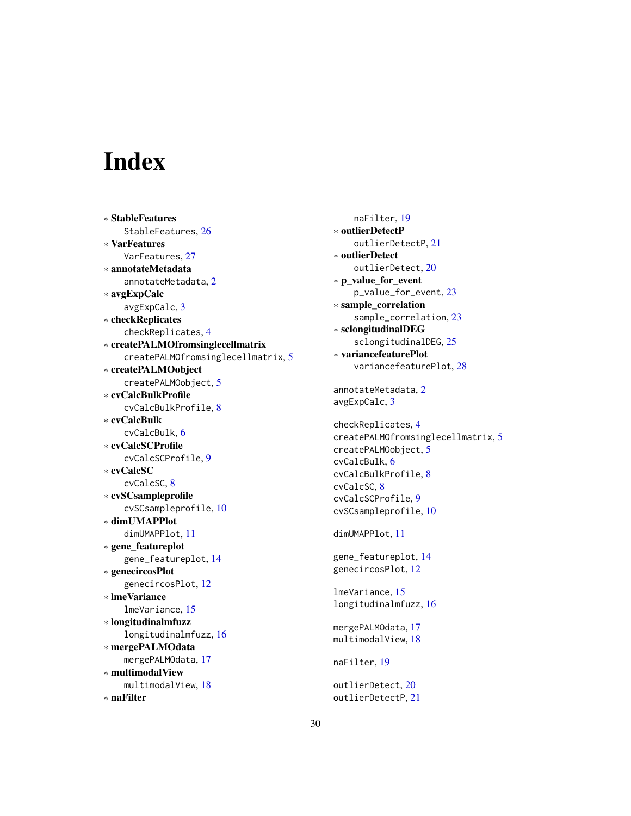# <span id="page-29-0"></span>**Index**

∗ StableFeatures StableFeatures, [26](#page-25-0) ∗ VarFeatures VarFeatures, [27](#page-26-0) ∗ annotateMetadata annotateMetadata, [2](#page-1-0) ∗ avgExpCalc avgExpCalc, [3](#page-2-0) ∗ checkReplicates checkReplicates, [4](#page-3-0) ∗ createPALMOfromsinglecellmatrix createPALMOfromsinglecellmatrix, [5](#page-4-0) ∗ createPALMOobject createPALMOobject, [5](#page-4-0) ∗ cvCalcBulkProfile cvCalcBulkProfile, [8](#page-7-0) ∗ cvCalcBulk cvCalcBulk, [6](#page-5-0) ∗ cvCalcSCProfile cvCalcSCProfile, [9](#page-8-0) ∗ cvCalcSC cvCalcSC, [8](#page-7-0) ∗ cvSCsampleprofile cvSCsampleprofile, [10](#page-9-0) ∗ dimUMAPPlot dimUMAPPlot, [11](#page-10-0) ∗ gene\_featureplot gene\_featureplot, [14](#page-13-0) ∗ genecircosPlot genecircosPlot, [12](#page-11-0) ∗ lmeVariance lmeVariance, [15](#page-14-0) ∗ longitudinalmfuzz longitudinalmfuzz, [16](#page-15-0) ∗ mergePALMOdata mergePALMOdata, [17](#page-16-0) ∗ multimodalView multimodalView, [18](#page-17-0) ∗ naFilter

naFilter, [19](#page-18-0) ∗ outlierDetectP outlierDetectP, [21](#page-20-0) ∗ outlierDetect outlierDetect, [20](#page-19-0) ∗ p\_value\_for\_event p\_value\_for\_event, [23](#page-22-0) ∗ sample\_correlation sample\_correlation, [23](#page-22-0) ∗ sclongitudinalDEG sclongitudinalDEG, [25](#page-24-0) ∗ variancefeaturePlot variancefeaturePlot, [28](#page-27-0) annotateMetadata, [2](#page-1-0) avgExpCalc, [3](#page-2-0) checkReplicates, [4](#page-3-0) createPALMOfromsinglecellmatrix, [5](#page-4-0) createPALMOobject, [5](#page-4-0) cvCalcBulk, [6](#page-5-0) cvCalcBulkProfile, [8](#page-7-0) cvCalcSC, [8](#page-7-0) cvCalcSCProfile, [9](#page-8-0) cvSCsampleprofile, [10](#page-9-0) dimUMAPPlot, [11](#page-10-0) gene\_featureplot, [14](#page-13-0) genecircosPlot, [12](#page-11-0) lmeVariance, [15](#page-14-0) longitudinalmfuzz, [16](#page-15-0) mergePALMOdata, [17](#page-16-0) multimodalView, [18](#page-17-0) naFilter, [19](#page-18-0) outlierDetect, [20](#page-19-0) outlierDetectP, [21](#page-20-0)